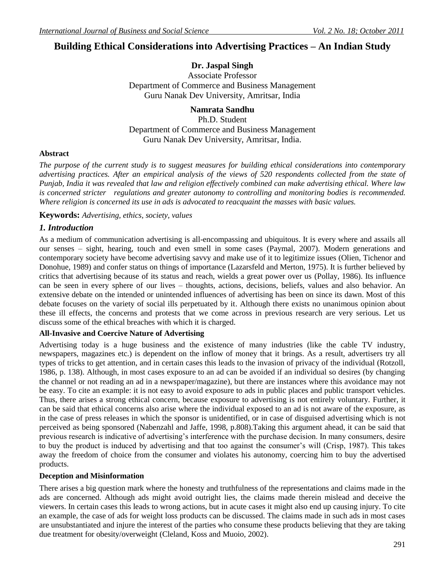# **Building Ethical Considerations into Advertising Practices – An Indian Study**

# **Dr. Jaspal Singh**

Associate Professor Department of Commerce and Business Management Guru Nanak Dev University, Amritsar, India

# **Namrata Sandhu**

Ph.D. Student Department of Commerce and Business Management Guru Nanak Dev University, Amritsar, India.

# **Abstract**

*The purpose of the current study is to suggest measures for building ethical considerations into contemporary advertising practices. After an empirical analysis of the views of 520 respondents collected from the state of Punjab, India it was revealed that law and religion effectively combined can make advertising ethical. Where law*  is concerned stricter regulations and greater autonomy to controlling and monitoring bodies is recommended. *Where religion is concerned its use in ads is advocated to reacquaint the masses with basic values.*

**Keywords:** *Advertising, ethics, society, values*

# *1. Introduction*

As a medium of communication advertising is all-encompassing and ubiquitous. It is every where and assails all our senses – sight, hearing, touch and even smell in some cases (Paymal, 2007). Modern generations and contemporary society have become advertising savvy and make use of it to legitimize issues (Olien, Tichenor and Donohue, 1989) and confer status on things of importance (Lazarsfeld and Merton, 1975). It is further believed by critics that advertising because of its status and reach, wields a great power over us (Pollay, 1986). Its influence can be seen in every sphere of our lives – thoughts, actions, decisions, beliefs, values and also behavior. An extensive debate on the intended or unintended influences of advertising has been on since its dawn. Most of this debate focuses on the variety of social ills perpetuated by it. Although there exists no unanimous opinion about these ill effects, the concerns and protests that we come across in previous research are very serious. Let us discuss some of the ethical breaches with which it is charged.

# **All-Invasive and Coercive Nature of Advertising**

Advertising today is a huge business and the existence of many industries (like the cable TV industry, newspapers, magazines etc.) is dependent on the inflow of money that it brings. As a result, advertisers try all types of tricks to get attention, and in certain cases this leads to the invasion of privacy of the individual (Rotzoll, 1986, p. 138). Although, in most cases exposure to an ad can be avoided if an individual so desires (by changing the channel or not reading an ad in a newspaper/magazine), but there are instances where this avoidance may not be easy. To cite an example: it is not easy to avoid exposure to ads in public places and public transport vehicles. Thus, there arises a strong ethical concern, because exposure to advertising is not entirely voluntary. Further, it can be said that ethical concerns also arise where the individual exposed to an ad is not aware of the exposure, as in the case of press releases in which the sponsor is unidentified, or in case of disguised advertising which is not perceived as being sponsored (Nabenzahl and Jaffe, 1998, p.808).Taking this argument ahead, it can be said that previous research is indicative of advertising"s interference with the purchase decision. In many consumers, desire to buy the product is induced by advertising and that too against the consumer"s will (Crisp, 1987). This takes away the freedom of choice from the consumer and violates his autonomy, coercing him to buy the advertised products.

# **Deception and Misinformation**

There arises a big question mark where the honesty and truthfulness of the representations and claims made in the ads are concerned. Although ads might avoid outright lies, the claims made therein mislead and deceive the viewers. In certain cases this leads to wrong actions, but in acute cases it might also end up causing injury. To cite an example, the case of ads for weight loss products can be discussed. The claims made in such ads in most cases are unsubstantiated and injure the interest of the parties who consume these products believing that they are taking due treatment for obesity/overweight (Cleland, Koss and Muoio, 2002).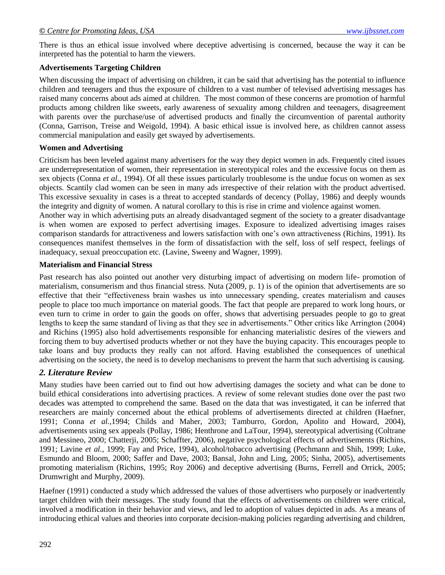There is thus an ethical issue involved where deceptive advertising is concerned, because the way it can be interpreted has the potential to harm the viewers.

### **Advertisements Targeting Children**

When discussing the impact of advertising on children, it can be said that advertising has the potential to influence children and teenagers and thus the exposure of children to a vast number of televised advertising messages has raised many concerns about ads aimed at children. The most common of these concerns are promotion of harmful products among children like sweets, early awareness of sexuality among children and teenagers, disagreement with parents over the purchase/use of advertised products and finally the circumvention of parental authority (Conna, Garrison, Treise and Weigold, 1994). A basic ethical issue is involved here, as children cannot assess commercial manipulation and easily get swayed by advertisements.

### **Women and Advertising**

Criticism has been leveled against many advertisers for the way they depict women in ads. Frequently cited issues are underrepresentation of women, their representation in stereotypical roles and the excessive focus on them as sex objects (Conna *et al.*, 1994). Of all these issues particularly troublesome is the undue focus on women as sex objects. Scantily clad women can be seen in many ads irrespective of their relation with the product advertised. This excessive sexuality in cases is a threat to accepted standards of decency (Pollay, 1986) and deeply wounds the integrity and dignity of women. A natural corollary to this is rise in crime and violence against women.

Another way in which advertising puts an already disadvantaged segment of the society to a greater disadvantage is when women are exposed to perfect advertising images. Exposure to idealized advertising images raises comparison standards for attractiveness and lowers satisfaction with one"s own attractiveness (Richins, 1991). Its consequences manifest themselves in the form of dissatisfaction with the self, loss of self respect, feelings of inadequacy, sexual preoccupation etc. (Lavine, Sweeny and Wagner, 1999).

#### **Materialism and Financial Stress**

Past research has also pointed out another very disturbing impact of advertising on modern life- promotion of materialism, consumerism and thus financial stress. Nuta (2009, p. 1) is of the opinion that advertisements are so effective that their "effectiveness brain washes us into unnecessary spending, creates materialism and causes people to place too much importance on material goods. The fact that people are prepared to work long hours, or even turn to crime in order to gain the goods on offer, shows that advertising persuades people to go to great lengths to keep the same standard of living as that they see in advertisements." Other critics like Arrington (2004) and Richins (1995) also hold advertisements responsible for enhancing materialistic desires of the viewers and forcing them to buy advertised products whether or not they have the buying capacity. This encourages people to take loans and buy products they really can not afford. Having established the consequences of unethical advertising on the society, the need is to develop mechanisms to prevent the harm that such advertising is causing.

# *2. Literature Review*

Many studies have been carried out to find out how advertising damages the society and what can be done to build ethical considerations into advertising practices. A review of some relevant studies done over the past two decades was attempted to comprehend the same. Based on the data that was investigated, it can be inferred that researchers are mainly concerned about the ethical problems of advertisements directed at children (Haefner, 1991; Conna *et al.,*1994; Childs and Maher, 2003; Tamburro*,* Gordon, Apolito and Howard, 2004), advertisements using sex appeals (Pollay, 1986; Henthrone and LaTour, 1994), stereotypical advertising (Coltrane and Messineo, 2000; Chatterji, 2005; Schaffter, 2006), negative psychological effects of advertisements (Richins, 1991; Lavine *et al.,* 1999; Fay and Price, 1994), alcohol/tobacco advertising (Pechmann and Shih, 1999; Luke, Esmundo and Bloom, 2000; Saffer and Dave, 2003; Bansal, John and Ling, 2005; Sinha, 2005), advertisements promoting materialism (Richins, 1995; Roy 2006) and deceptive advertising (Burns, Ferrell and Orrick, 2005; Drumwright and Murphy, 2009).

Haefner (1991) conducted a study which addressed the values of those advertisers who purposely or inadvertently target children with their messages. The study found that the effects of advertisements on children were critical, involved a modification in their behavior and views, and led to adoption of values depicted in ads. As a means of introducing ethical values and theories into corporate decision-making policies regarding advertising and children,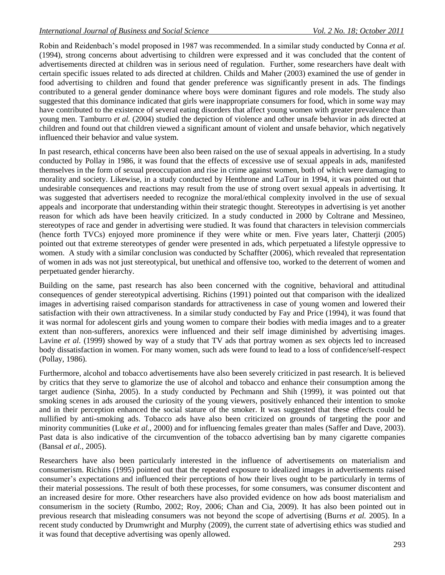Robin and Reidenbach"s model proposed in 1987 was recommended. In a similar study conducted by Conna *et al.*  (1994), strong concerns about advertising to children were expressed and it was concluded that the content of advertisements directed at children was in serious need of regulation. Further, some researchers have dealt with certain specific issues related to ads directed at children. Childs and Maher (2003) examined the use of gender in food advertising to children and found that gender preference was significantly present in ads. The findings contributed to a general gender dominance where boys were dominant figures and role models. The study also suggested that this dominance indicated that girls were inappropriate consumers for food, which in some way may have contributed to the existence of several eating disorders that affect young women with greater prevalence than young men. Tamburro *et al.* (2004) studied the depiction of violence and other unsafe behavior in ads directed at children and found out that children viewed a significant amount of violent and unsafe behavior, which negatively influenced their behavior and value system.

In past research, ethical concerns have been also been raised on the use of sexual appeals in advertising. In a study conducted by Pollay in 1986, it was found that the effects of excessive use of sexual appeals in ads, manifested themselves in the form of sexual preoccupation and rise in crime against women, both of which were damaging to morality and society. Likewise, in a study conducted by Henthrone and LaTour in 1994, it was pointed out that undesirable consequences and reactions may result from the use of strong overt sexual appeals in advertising. It was suggested that advertisers needed to recognize the moral/ethical complexity involved in the use of sexual appeals and incorporate that understanding within their strategic thought. Stereotypes in advertising is yet another reason for which ads have been heavily criticized. In a study conducted in 2000 by Coltrane and Messineo, stereotypes of race and gender in advertising were studied. It was found that characters in television commercials (hence forth TVCs) enjoyed more prominence if they were white or men. Five years later, Chatterji (2005) pointed out that extreme stereotypes of gender were presented in ads, which perpetuated a lifestyle oppressive to women. A study with a similar conclusion was conducted by Schaffter (2006), which revealed that representation of women in ads was not just stereotypical, but unethical and offensive too, worked to the deterrent of women and perpetuated gender hierarchy.

Building on the same, past research has also been concerned with the cognitive, behavioral and attitudinal consequences of gender stereotypical advertising. Richins (1991) pointed out that comparison with the idealized images in advertising raised comparison standards for attractiveness in case of young women and lowered their satisfaction with their own attractiveness. In a similar study conducted by Fay and Price (1994), it was found that it was normal for adolescent girls and young women to compare their bodies with media images and to a greater extent than non-sufferers, anorexics were influenced and their self image diminished by advertising images. Lavine *et al.* (1999) showed by way of a study that TV ads that portray women as sex objects led to increased body dissatisfaction in women. For many women, such ads were found to lead to a loss of confidence/self-respect (Pollay, 1986).

Furthermore, alcohol and tobacco advertisements have also been severely criticized in past research. It is believed by critics that they serve to glamorize the use of alcohol and tobacco and enhance their consumption among the target audience (Sinha, 2005). In a study conducted by Pechmann and Shih (1999), it was pointed out that smoking scenes in ads aroused the curiosity of the young viewers, positively enhanced their intention to smoke and in their perception enhanced the social stature of the smoker. It was suggested that these effects could be nullified by anti-smoking ads. Tobacco ads have also been criticized on grounds of targeting the poor and minority communities (Luke *et al.,* 2000) and for influencing females greater than males (Saffer and Dave, 2003). Past data is also indicative of the circumvention of the tobacco advertising ban by many cigarette companies (Bansal *et al.,* 2005).

Researchers have also been particularly interested in the influence of advertisements on materialism and consumerism. Richins (1995) pointed out that the repeated exposure to idealized images in advertisements raised consumer"s expectations and influenced their perceptions of how their lives ought to be particularly in terms of their material possessions. The result of both these processes, for some consumers, was consumer discontent and an increased desire for more. Other researchers have also provided evidence on how ads boost materialism and consumerism in the society (Rumbo, 2002; Roy, 2006; Chan and Cia, 2009). It has also been pointed out in previous research that misleading consumers was not beyond the scope of advertising (Burns *et al.* 2005). In a recent study conducted by Drumwright and Murphy (2009), the current state of advertising ethics was studied and it was found that deceptive advertising was openly allowed.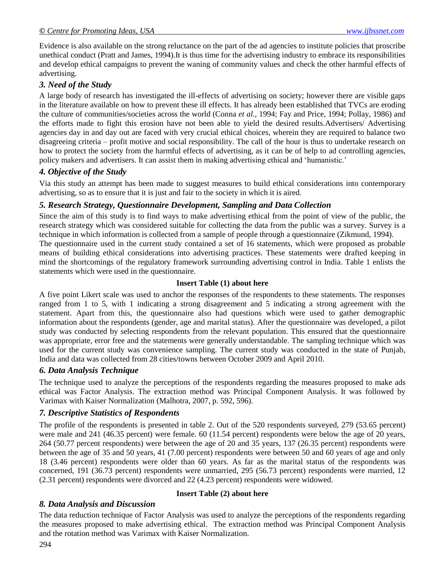Evidence is also available on the strong reluctance on the part of the ad agencies to institute policies that proscribe unethical conduct (Pratt and James, 1994).It is thus time for the advertising industry to embrace its responsibilities and develop ethical campaigns to prevent the waning of community values and check the other harmful effects of advertising.

# *3. Need of the Study*

A large body of research has investigated the ill-effects of advertising on society; however there are visible gaps in the literature available on how to prevent these ill effects. It has already been established that TVCs are eroding the culture of communities/societies across the world (Conna *et al.*, 1994; Fay and Price, 1994; Pollay, 1986) and the efforts made to fight this erosion have not been able to yield the desired results.Advertisers/ Advertising agencies day in and day out are faced with very crucial ethical choices, wherein they are required to balance two disagreeing criteria – profit motive and social responsibility. The call of the hour is thus to undertake research on how to protect the society from the harmful effects of advertising, as it can be of help to ad controlling agencies, policy makers and advertisers. It can assist them in making advertising ethical and "humanistic."

# *4. Objective of the Study*

Via this study an attempt has been made to suggest measures to build ethical considerations into contemporary advertising, so as to ensure that it is just and fair to the society in which it is aired.

# *5. Research Strategy, Questionnaire Development, Sampling and Data Collection*

Since the aim of this study is to find ways to make advertising ethical from the point of view of the public, the research strategy which was considered suitable for collecting the data from the public was a survey. Survey is a technique in which information is collected from a sample of people through a questionnaire (Zikmund, 1994).

The questionnaire used in the current study contained a set of 16 statements, which were proposed as probable means of building ethical considerations into advertising practices. These statements were drafted keeping in mind the shortcomings of the regulatory framework surrounding advertising control in India. Table 1 enlists the statements which were used in the questionnaire.

### **Insert Table (1) about here**

A five point Likert scale was used to anchor the responses of the respondents to these statements. The responses ranged from 1 to 5, with 1 indicating a strong disagreement and 5 indicating a strong agreement with the statement. Apart from this, the questionnaire also had questions which were used to gather demographic information about the respondents (gender, age and marital status). After the questionnaire was developed, a pilot study was conducted by selecting respondents from the relevant population. This ensured that the questionnaire was appropriate, error free and the statements were generally understandable. The sampling technique which was used for the current study was convenience sampling. The current study was conducted in the state of Punjab, India and data was collected from 28 cities/towns between October 2009 and April 2010.

# *6. Data Analysis Technique*

The technique used to analyze the perceptions of the respondents regarding the measures proposed to make ads ethical was Factor Analysis. The extraction method was Principal Component Analysis. It was followed by Varimax with Kaiser Normalization (Malhotra, 2007, p. 592, 596).

# *7. Descriptive Statistics of Respondents*

The profile of the respondents is presented in table 2. Out of the 520 respondents surveyed, 279 (53.65 percent) were male and 241 (46.35 percent) were female. 60 (11.54 percent) respondents were below the age of 20 years, 264 (50.77 percent respondents) were between the age of 20 and 35 years, 137 (26.35 percent) respondents were between the age of 35 and 50 years, 41 (7.00 percent) respondents were between 50 and 60 years of age and only 18 (3.46 percent) respondents were older than 60 years. As far as the marital status of the respondents was concerned, 191 (36.73 percent) respondents were unmarried, 295 (56.73 percent) respondents were married, 12 (2.31 percent) respondents were divorced and 22 (4.23 percent) respondents were widowed.

# *8. Data Analysis and Discussion*

### **Insert Table (2) about here**

The data reduction technique of Factor Analysis was used to analyze the perceptions of the respondents regarding the measures proposed to make advertising ethical. The extraction method was Principal Component Analysis and the rotation method was Varimax with Kaiser Normalization.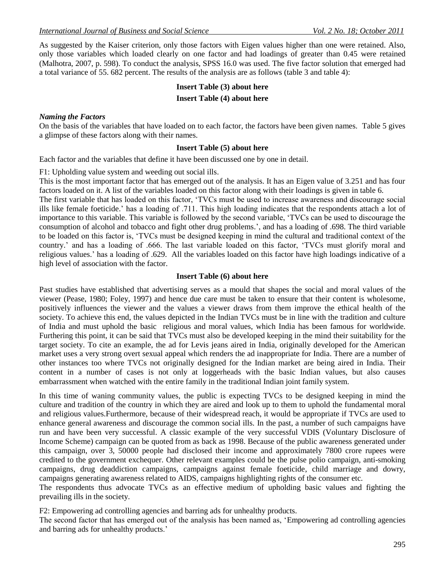As suggested by the Kaiser criterion, only those factors with Eigen values higher than one were retained. Also, only those variables which loaded clearly on one factor and had loadings of greater than 0.45 were retained (Malhotra, 2007, p. 598). To conduct the analysis, SPSS 16.0 was used. The five factor solution that emerged had a total variance of 55. 682 percent. The results of the analysis are as follows (table 3 and table 4):

#### **Insert Table (3) about here**

#### **Insert Table (4) about here**

#### *Naming the Factors*

On the basis of the variables that have loaded on to each factor, the factors have been given names. Table 5 gives a glimpse of these factors along with their names.

#### **Insert Table (5) about here**

Each factor and the variables that define it have been discussed one by one in detail.

F1: Upholding value system and weeding out social ills.

This is the most important factor that has emerged out of the analysis. It has an Eigen value of 3.251 and has four factors loaded on it. A list of the variables loaded on this factor along with their loadings is given in table 6.

The first variable that has loaded on this factor, "TVCs must be used to increase awareness and discourage social ills like female foeticide." has a loading of .711. This high loading indicates that the respondents attach a lot of importance to this variable. This variable is followed by the second variable, "TVCs can be used to discourage the consumption of alcohol and tobacco and fight other drug problems.", and has a loading of .698. The third variable to be loaded on this factor is, "TVCs must be designed keeping in mind the cultural and traditional context of the country." and has a loading of .666. The last variable loaded on this factor, "TVCs must glorify moral and religious values." has a loading of .629. All the variables loaded on this factor have high loadings indicative of a high level of association with the factor.

#### **Insert Table (6) about here**

Past studies have established that advertising serves as a mould that shapes the social and moral values of the viewer (Pease, 1980; Foley, 1997) and hence due care must be taken to ensure that their content is wholesome, positively influences the viewer and the values a viewer draws from them improve the ethical health of the society. To achieve this end, the values depicted in the Indian TVCs must be in line with the tradition and culture of India and must uphold the basic religious and moral values, which India has been famous for worldwide. Furthering this point, it can be said that TVCs must also be developed keeping in the mind their suitability for the target society. To cite an example, the ad for Levis jeans aired in India, originally developed for the American market uses a very strong overt sexual appeal which renders the ad inappropriate for India. There are a number of other instances too where TVCs not originally designed for the Indian market are being aired in India. Their content in a number of cases is not only at loggerheads with the basic Indian values, but also causes embarrassment when watched with the entire family in the traditional Indian joint family system.

In this time of waning community values, the public is expecting TVCs to be designed keeping in mind the culture and tradition of the country in which they are aired and look up to them to uphold the fundamental moral and religious values.Furthermore, because of their widespread reach, it would be appropriate if TVCs are used to enhance general awareness and discourage the common social ills. In the past, a number of such campaigns have run and have been very successful. A classic example of the very successful VDIS (Voluntary Disclosure of Income Scheme) campaign can be quoted from as back as 1998. Because of the public awareness generated under this campaign, over 3, 50000 people had disclosed their income and approximately 7800 crore rupees were credited to the government exchequer. Other relevant examples could be the pulse polio campaign, anti-smoking campaigns, drug deaddiction campaigns, campaigns against female foeticide, child marriage and dowry, campaigns generating awareness related to AIDS, campaigns highlighting rights of the consumer etc.

The respondents thus advocate TVCs as an effective medium of upholding basic values and fighting the prevailing ills in the society.

F2: Empowering ad controlling agencies and barring ads for unhealthy products.

The second factor that has emerged out of the analysis has been named as, "Empowering ad controlling agencies and barring ads for unhealthy products."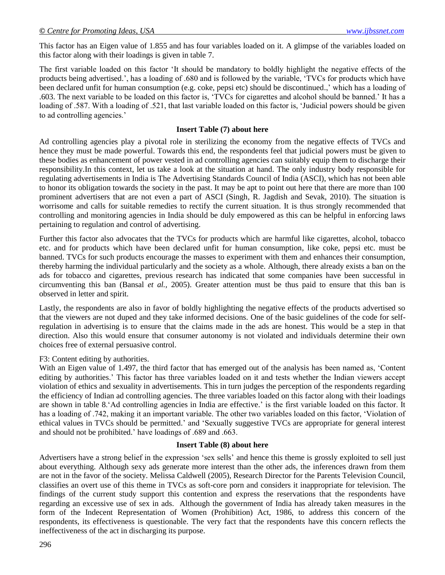This factor has an Eigen value of 1.855 and has four variables loaded on it. A glimpse of the variables loaded on this factor along with their loadings is given in table 7.

The first variable loaded on this factor "It should be mandatory to boldly highlight the negative effects of the products being advertised.", has a loading of .680 and is followed by the variable, "TVCs for products which have been declared unfit for human consumption (e.g. coke, pepsi etc) should be discontinued.,' which has a loading of .603. The next variable to be loaded on this factor is, "TVCs for cigarettes and alcohol should be banned." It has a loading of .587. With a loading of .521, that last variable loaded on this factor is, "Judicial powers should be given to ad controlling agencies."

### **Insert Table (7) about here**

Ad controlling agencies play a pivotal role in sterilizing the economy from the negative effects of TVCs and hence they must be made powerful. Towards this end, the respondents feel that judicial powers must be given to these bodies as enhancement of power vested in ad controlling agencies can suitably equip them to discharge their responsibility.In this context, let us take a look at the situation at hand. The only industry body responsible for regulating advertisements in India is The Advertising Standards Council of India (ASCI), which has not been able to honor its obligation towards the society in the past. It may be apt to point out here that there are more than 100 prominent advertisers that are not even a part of ASCI (Singh, R. Jagdish and Sevak, 2010). The situation is worrisome and calls for suitable remedies to rectify the current situation. It is thus strongly recommended that controlling and monitoring agencies in India should be duly empowered as this can be helpful in enforcing laws pertaining to regulation and control of advertising.

Further this factor also advocates that the TVCs for products which are harmful like cigarettes, alcohol, tobacco etc. and for products which have been declared unfit for human consumption, like coke, pepsi etc. must be banned. TVCs for such products encourage the masses to experiment with them and enhances their consumption, thereby harming the individual particularly and the society as a whole. Although, there already exists a ban on the ads for tobacco and cigarettes, previous research has indicated that some companies have been successful in circumventing this ban (Bansal *et al.,* 2005). Greater attention must be thus paid to ensure that this ban is observed in letter and spirit.

Lastly, the respondents are also in favor of boldly highlighting the negative effects of the products advertised so that the viewers are not duped and they take informed decisions. One of the basic guidelines of the code for selfregulation in advertising is to ensure that the claims made in the ads are honest. This would be a step in that direction. Also this would ensure that consumer autonomy is not violated and individuals determine their own choices free of external persuasive control.

# F3: Content editing by authorities.

With an Eigen value of 1.497, the third factor that has emerged out of the analysis has been named as, 'Content editing by authorities." This factor has three variables loaded on it and tests whether the Indian viewers accept violation of ethics and sexuality in advertisements. This in turn judges the perception of the respondents regarding the efficiency of Indian ad controlling agencies. The three variables loaded on this factor along with their loadings are shown in table 8. Ad controlling agencies in India are effective.' is the first variable loaded on this factor. It has a loading of .742, making it an important variable. The other two variables loaded on this factor, "Violation of ethical values in TVCs should be permitted." and "Sexually suggestive TVCs are appropriate for general interest and should not be prohibited." have loadings of .689 and .663.

#### **Insert Table (8) about here**

Advertisers have a strong belief in the expression "sex sells" and hence this theme is grossly exploited to sell just about everything. Although sexy ads generate more interest than the other ads, the inferences drawn from them are not in the favor of the society. Melissa Caldwell (2005), Research Director for the Parents Television Council, classifies an overt use of this theme in TVCs as soft-core porn and considers it inappropriate for television. The findings of the current study support this contention and express the reservations that the respondents have regarding an excessive use of sex in ads. Although the government of India has already taken measures in the form of the Indecent Representation of Women (Prohibition) Act, 1986, to address this concern of the respondents, its effectiveness is questionable. The very fact that the respondents have this concern reflects the ineffectiveness of the act in discharging its purpose.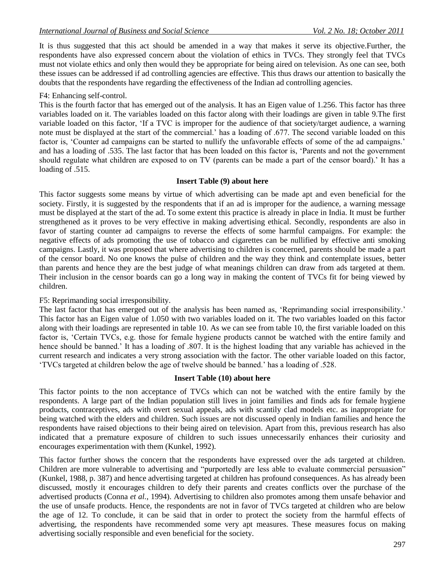It is thus suggested that this act should be amended in a way that makes it serve its objective.Further, the respondents have also expressed concern about the violation of ethics in TVCs. They strongly feel that TVCs must not violate ethics and only then would they be appropriate for being aired on television. As one can see, both these issues can be addressed if ad controlling agencies are effective. This thus draws our attention to basically the doubts that the respondents have regarding the effectiveness of the Indian ad controlling agencies.

#### F4: Enhancing self-control.

This is the fourth factor that has emerged out of the analysis. It has an Eigen value of 1.256. This factor has three variables loaded on it. The variables loaded on this factor along with their loadings are given in table 9.The first variable loaded on this factor, "If a TVC is improper for the audience of that society/target audience, a warning note must be displayed at the start of the commercial.' has a loading of .677. The second variable loaded on this factor is, 'Counter ad campaigns can be started to nullify the unfavorable effects of some of the ad campaigns.' and has a loading of .535. The last factor that has been loaded on this factor is, "Parents and not the government should regulate what children are exposed to on TV (parents can be made a part of the censor board).' It has a loading of .515.

#### **Insert Table (9) about here**

This factor suggests some means by virtue of which advertising can be made apt and even beneficial for the society. Firstly, it is suggested by the respondents that if an ad is improper for the audience, a warning message must be displayed at the start of the ad. To some extent this practice is already in place in India. It must be further strengthened as it proves to be very effective in making advertising ethical. Secondly, respondents are also in favor of starting counter ad campaigns to reverse the effects of some harmful campaigns. For example: the negative effects of ads promoting the use of tobacco and cigarettes can be nullified by effective anti smoking campaigns. Lastly, it was proposed that where advertising to children is concerned, parents should be made a part of the censor board. No one knows the pulse of children and the way they think and contemplate issues, better than parents and hence they are the best judge of what meanings children can draw from ads targeted at them. Their inclusion in the censor boards can go a long way in making the content of TVCs fit for being viewed by children.

#### F5: Reprimanding social irresponsibility.

The last factor that has emerged out of the analysis has been named as, 'Reprimanding social irresponsibility.' This factor has an Eigen value of 1.050 with two variables loaded on it. The two variables loaded on this factor along with their loadings are represented in table 10. As we can see from table 10, the first variable loaded on this factor is, "Certain TVCs, e.g. those for female hygiene products cannot be watched with the entire family and hence should be banned. It has a loading of .807. It is the highest loading that any variable has achieved in the current research and indicates a very strong association with the factor. The other variable loaded on this factor, "TVCs targeted at children below the age of twelve should be banned." has a loading of .528.

#### **Insert Table (10) about here**

This factor points to the non acceptance of TVCs which can not be watched with the entire family by the respondents. A large part of the Indian population still lives in joint families and finds ads for female hygiene products, contraceptives, ads with overt sexual appeals, ads with scantily clad models etc. as inappropriate for being watched with the elders and children. Such issues are not discussed openly in Indian families and hence the respondents have raised objections to their being aired on television. Apart from this, previous research has also indicated that a premature exposure of children to such issues unnecessarily enhances their curiosity and encourages experimentation with them (Kunkel, 1992).

This factor further shows the concern that the respondents have expressed over the ads targeted at children. Children are more vulnerable to advertising and "purportedly are less able to evaluate commercial persuasion" (Kunkel, 1988, p. 387) and hence advertising targeted at children has profound consequences. As has already been discussed, mostly it encourages children to defy their parents and creates conflicts over the purchase of the advertised products (Conna *et al.*, 1994). Advertising to children also promotes among them unsafe behavior and the use of unsafe products. Hence, the respondents are not in favor of TVCs targeted at children who are below the age of 12. To conclude, it can be said that in order to protect the society from the harmful effects of advertising, the respondents have recommended some very apt measures. These measures focus on making advertising socially responsible and even beneficial for the society.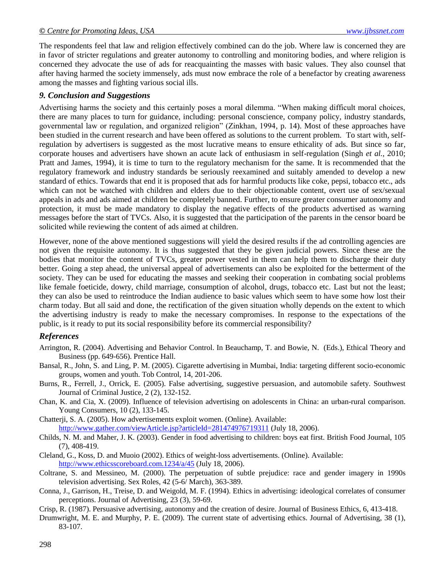The respondents feel that law and religion effectively combined can do the job. Where law is concerned they are in favor of stricter regulations and greater autonomy to controlling and monitoring bodies, and where religion is concerned they advocate the use of ads for reacquainting the masses with basic values. They also counsel that after having harmed the society immensely, ads must now embrace the role of a benefactor by creating awareness among the masses and fighting various social ills.

### *9. Conclusion and Suggestions*

Advertising harms the society and this certainly poses a moral dilemma. "When making difficult moral choices, there are many places to turn for guidance, including: personal conscience, company policy, industry standards, governmental law or regulation, and organized religion" (Zinkhan, 1994, p. 14). Most of these approaches have been studied in the current research and have been offered as solutions to the current problem. To start with, selfregulation by advertisers is suggested as the most lucrative means to ensure ethicality of ads. But since so far, corporate houses and advertisers have shown an acute lack of enthusiasm in self-regulation (Singh *et al.*, 2010; Pratt and James, 1994), it is time to turn to the regulatory mechanism for the same. It is recommended that the regulatory framework and industry standards be seriously reexamined and suitably amended to develop a new standard of ethics. Towards that end it is proposed that ads for harmful products like coke, pepsi, tobacco etc., ads which can not be watched with children and elders due to their objectionable content, overt use of sex/sexual appeals in ads and ads aimed at children be completely banned. Further, to ensure greater consumer autonomy and protection, it must be made mandatory to display the negative effects of the products advertised as warning messages before the start of TVCs. Also, it is suggested that the participation of the parents in the censor board be solicited while reviewing the content of ads aimed at children.

However, none of the above mentioned suggestions will yield the desired results if the ad controlling agencies are not given the requisite autonomy. It is thus suggested that they be given judicial powers. Since these are the bodies that monitor the content of TVCs, greater power vested in them can help them to discharge their duty better. Going a step ahead, the universal appeal of advertisements can also be exploited for the betterment of the society. They can be used for educating the masses and seeking their cooperation in combating social problems like female foeticide, dowry, child marriage, consumption of alcohol, drugs, tobacco etc. Last but not the least; they can also be used to reintroduce the Indian audience to basic values which seem to have some how lost their charm today. But all said and done, the rectification of the given situation wholly depends on the extent to which the advertising industry is ready to make the necessary compromises. In response to the expectations of the public, is it ready to put its social responsibility before its commercial responsibility?

# *References*

- Arrington, R. (2004). Advertising and Behavior Control. In Beauchamp, T. and Bowie, N. (Eds.), Ethical Theory and Business (pp. 649-656). Prentice Hall.
- Bansal, R., John, S. and Ling, P. M. (2005). Cigarette advertising in Mumbai, India: targeting different socio-economic groups, women and youth. Tob Control, 14, 201-206.
- Burns, R., Ferrell, J., Orrick, E. (2005). False advertising, suggestive persuasion, and automobile safety. Southwest Journal of Criminal Justice, 2 (2), 132-152.
- Chan, K. and Cia, X. (2009). Influence of television advertising on adolescents in China: an urban-rural comparison. Young Consumers, 10 (2), 133-145.
- Chatterji, S. A. (2005). How advertisements exploit women. (Online). Available: <http://www.gather.com/viewArticle.jsp?articleId=281474976719311> (July 18, 2006).
- Childs, N. M. and Maher, J. K. (2003). Gender in food advertising to children: boys eat first. British Food Journal, 105 (7), 408-419.
- Cleland, G., Koss, D. and Muoio (2002). Ethics of weight-loss advertisements. (Online). Available: <http://www.ethicsscoreboard.com.1234/a/45> (July 18, 2006).
- Coltrane, S. and Messineo, M. (2000). The perpetuation of subtle prejudice: race and gender imagery in 1990s television advertising. Sex Roles, 42 (5-6/ March), 363-389.
- Conna, J., Garrison, H., Treise, D. and Weigold, M. F. (1994). Ethics in advertising: ideological correlates of consumer perceptions. Journal of Advertising, 23 (3), 59-69.
- Crisp, R. (1987). Persuasive advertising, autonomy and the creation of desire. Journal of Business Ethics, 6, 413-418.
- Drumwright, M. E. and Murphy, P. E. (2009). The current state of advertising ethics. Journal of Advertising, 38 (1), 83-107.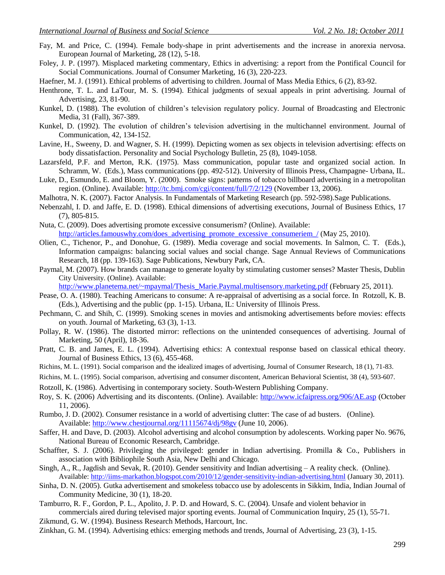- Fay, M. and Price, C. (1994). Female body-shape in print advertisements and the increase in anorexia nervosa. European Journal of Marketing, 28 (12), 5-18.
- Foley, J. P. (1997). Misplaced marketing commentary, Ethics in advertising: a report from the Pontifical Council for Social Communications. Journal of Consumer Marketing, 16 (3), 220-223.
- Haefner, M. J. (1991). Ethical problems of advertising to children. Journal of Mass Media Ethics, 6 (2), 83-92.
- Henthrone, T. L. and LaTour, M. S. (1994). Ethical judgments of sexual appeals in print advertising. Journal of Advertising, 23, 81-90.
- Kunkel, D. (1988). The evolution of children"s television regulatory policy. Journal of Broadcasting and Electronic Media, 31 (Fall), 367-389.
- Kunkel, D. (1992). The evolution of children"s television advertising in the multichannel environment. Journal of Communication, 42, 134-152.
- Lavine, H., Sweeny, D. and Wagner, S. H. (1999). Depicting women as sex objects in television advertising: effects on body dissatisfaction. Personality and Social Psychology Bulletin, 25 (8), 1049-1058.
- Lazarsfeld, P.F. and Merton, R.K. (1975). Mass communication, popular taste and organized social action. In Schramm, W. (Eds.), Mass communications (pp. 492-512). University of Illinois Press, Champagne- Urbana, IL.
- Luke, D., Esmundo, E. and Bloom, Y. (2000). Smoke signs: patterns of tobacco billboard advertising in a metropolitan region. (Online). Available:<http://tc.bmj.com/cgi/content/full/7/2/129> (November 13, 2006).
- Malhotra, N. K. (2007). Factor Analysis. In Fundamentals of Marketing Research (pp. 592-598).Sage Publications.
- Nebenzahl, I. D. and Jaffe, E. D. (1998). Ethical dimensions of advertising executions, Journal of Business Ethics, 17 (7), 805-815.
- Nuta, C. (2009). Does advertising promote excessive consumerism? (Online). Available: [http://articles.famouswhy.com/does\\_advertising\\_promote\\_excessive\\_consumeriem\\_/](http://articles.famouswhy.com/does_advertising_promote_excessive_consumeriem_/) (May 25, 2010).
- Olien, C., Tichenor, P., and Donohue, G. (1989). Media coverage and social movements. In Salmon, C. T. (Eds.), Information campaigns: balancing social values and social change. Sage Annual Reviews of Communications Research, 18 (pp. 139-163). Sage Publications, Newbury Park, CA.
- Paymal, M. (2007). How brands can manage to generate loyalty by stimulating customer senses? Master Thesis, Dublin City University. (Online). Available:

[http://www.planetema.net/~mpaymal/Thesis\\_Marie.Paymal.multisensory.marketing.pdf](http://www.planetema.net/~mpaymal/Thesis_Marie.Paymal.multisensory.marketing.pdf) (February 25, 2011).

- Pease, O. A. (1980). Teaching Americans to consume: A re-appraisal of advertising as a social force. In Rotzoll, K. B. (Eds.), Advertising and the public (pp. 1-15). Urbana, IL: University of Illinois Press.
- Pechmann, C. and Shih, C. (1999). Smoking scenes in movies and antismoking advertisements before movies: effects on youth. Journal of Marketing, 63 (3), 1-13.
- Pollay, R. W. (1986). The distorted mirror: reflections on the unintended consequences of advertising. Journal of Marketing, 50 (April), 18-36.
- Pratt, C. B. and James, E. L. (1994). Advertising ethics: A contextual response based on classical ethical theory. Journal of Business Ethics, 13 (6), 455-468.
- Richins, M. L. (1991). Social comparison and the idealized images of advertising, Journal of Consumer Research, 18 (1), 71-83.
- Richins, M. L. (1995). Social comparison, advertising and consumer discontent, American Behavioral Scientist, 38 (4), 593-607.
- Rotzoll, K. (1986). Advertising in contemporary society. South-Western Publishing Company.
- Roy, S. K. (2006) Advertising and its discontents. (Online). Available: <http://www.icfaipress.org/906/AE.asp> (October 11, 2006).
- Rumbo, J. D. (2002). Consumer resistance in a world of advertising clutter: The case of ad busters. (Online). Available:<http://www.chestjournal.org/11115674/dj/98gv> (June 10, 2006).
- Saffer, H. and Dave, D. (2003). Alcohol advertising and alcohol consumption by adolescents. Working paper No. 9676, National Bureau of Economic Research, Cambridge.
- Schaffter, S. J. (2006). Privileging the privileged: gender in Indian advertising. Promilla & Co., Publishers in association with Bibliophile South Asia, New Delhi and Chicago.
- Singh, A., R., Jagdish and Sevak, R. (2010). Gender sensitivity and Indian advertising A reality check. (Online). Available:<http://iims-markathon.blogspot.com/2010/12/gender-sensitivity-indian-advertising.html> (January 30, 2011).
- Sinha, D. N. (2005). Gutka advertisement and smokeless tobacco use by adolescents in Sikkim, India, Indian Journal of Community Medicine, 30 (1), 18-20.
- Tamburro, R. F., Gordon, P. L., Apolito, J. P. D. and Howard, S. C. (2004). Unsafe and violent behavior in commercials aired during televised major sporting events. Journal of Communication Inquiry, 25 (1), 55-71.
- Zikmund, G. W. (1994). Business Research Methods, Harcourt, Inc.
- Zinkhan, G. M. (1994). Advertising ethics: emerging methods and trends, Journal of Advertising, 23 (3), 1-15.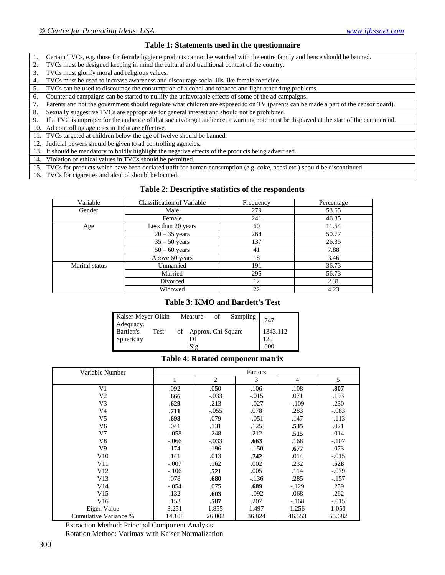#### **Table 1: Statements used in the questionnaire**

| 1. Certain TVCs, e.g. those for female hygiene products cannot be watched with the entire family and hence should be banned. |
|------------------------------------------------------------------------------------------------------------------------------|
| 2. TVCs must be designed keeping in mind the cultural and traditional context of the country.                                |

- 3. TVCs must glorify moral and religious values.
- 4. TVCs must be used to increase awareness and discourage social ills like female foeticide.

5. TVCs can be used to discourage the consumption of alcohol and tobacco and fight other drug problems.

6. Counter ad campaigns can be started to nullify the unfavorable effects of some of the ad campaigns.

7. Parents and not the government should regulate what children are exposed to on TV (parents can be made a part of the censor board).

8. Sexually suggestive TVCs are appropriate for general interest and should not be prohibited.

9. If a TVC is improper for the audience of that society/target audience, a warning note must be displayed at the start of the commercial.

10. Ad controlling agencies in India are effective.

11. TVCs targeted at children below the age of twelve should be banned.

12. Judicial powers should be given to ad controlling agencies.

13. It should be mandatory to boldly highlight the negative effects of the products being advertised.

14. Violation of ethical values in TVCs should be permitted.

15. TVCs for products which have been declared unfit for human consumption (e.g. coke, pepsi etc.) should be discontinued.

16. TVCs for cigarettes and alcohol should be banned.

#### **Table 2: Descriptive statistics of the respondents**

| Variable       | <b>Classification of Variable</b> | Frequency | Percentage |
|----------------|-----------------------------------|-----------|------------|
| Gender         | Male                              | 279       | 53.65      |
|                | Female                            | 241       | 46.35      |
| Age            | Less than 20 years                | 60        | 11.54      |
|                | $20 - 35$ years                   | 264       | 50.77      |
|                | $35 - 50$ years                   | 137       | 26.35      |
|                | $50 - 60$ years                   | 41        | 7.88       |
|                | Above 60 years                    | 18        | 3.46       |
| Marital status | Unmarried                         | 191       | 36.73      |
|                | Married                           | 295       | 56.73      |
|                | Divorced                          | 12        | 2.31       |
|                | Widowed                           | 22        | 4.23       |

#### **Table 3: KMO and Bartlett's Test**

| Kaiser-Meyer-Olkin<br>Adequacy. |      |    | Measure            | οf | Sampling | 747      |
|---------------------------------|------|----|--------------------|----|----------|----------|
| Bartlett's                      | Test | of | Approx. Chi-Square |    |          | 1343.112 |
| Sphericity                      |      |    | Df                 |    |          | 120      |
|                                 |      |    | Sig.               |    |          | .000     |

#### **Table 4: Rotated component matrix**

| Variable Number       |         |         | Factors |         |         |
|-----------------------|---------|---------|---------|---------|---------|
|                       |         | 2       | 3       | 4       | 5       |
| V1                    | .092    | .050    | .106    | .108    | .807    |
| V <sub>2</sub>        | .666    | $-.033$ | $-.015$ | .071    | .193    |
| V <sub>3</sub>        | .629    | .213    | $-.027$ | $-.109$ | .230    |
| V4                    | .711    | $-.055$ | .078    | .283    | $-.083$ |
| V5                    | .698    | .079    | $-.051$ | .147    | $-.113$ |
| V6                    | .041    | .131    | .125    | .535    | .021    |
| V7                    | $-.058$ | .248    | .212    | .515    | .014    |
| V8                    | $-.066$ | $-.033$ | .663    | .168    | $-.107$ |
| V9                    | .174    | .196    | $-.150$ | .677    | .073    |
| V10                   | .141    | .013    | .742    | .014    | $-.015$ |
| V11                   | $-.007$ | .162    | .002    | .232    | .528    |
| V12                   | $-.106$ | .521    | .005    | .114    | $-.079$ |
| V13                   | .078    | .680    | $-.136$ | .285    | $-.157$ |
| V14                   | $-.054$ | .075    | .689    | $-.129$ | .259    |
| V15                   | .132    | .603    | $-.092$ | .068    | .262    |
| V16                   | .153    | .587    | .207    | $-.168$ | $-.015$ |
| Eigen Value           | 3.251   | 1.855   | 1.497   | 1.256   | 1.050   |
| Cumulative Variance % | 14.108  | 26.002  | 36.824  | 46.553  | 55.682  |

Extraction Method: Principal Component Analysis

Rotation Method: Varimax with Kaiser Normalization